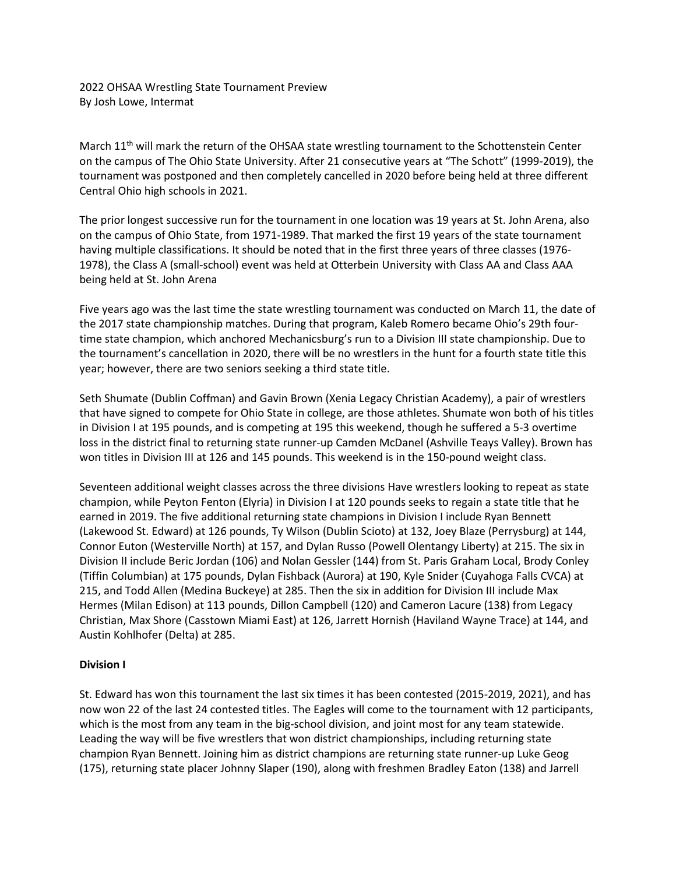2022 OHSAA Wrestling State Tournament Preview By Josh Lowe, Intermat

March 11<sup>th</sup> will mark the return of the OHSAA state wrestling tournament to the Schottenstein Center on the campus of The Ohio State University. After 21 consecutive years at "The Schott" (1999-2019), the tournament was postponed and then completely cancelled in 2020 before being held at three different Central Ohio high schools in 2021.

The prior longest successive run for the tournament in one location was 19 years at St. John Arena, also on the campus of Ohio State, from 1971-1989. That marked the first 19 years of the state tournament having multiple classifications. It should be noted that in the first three years of three classes (1976- 1978), the Class A (small-school) event was held at Otterbein University with Class AA and Class AAA being held at St. John Arena

Five years ago was the last time the state wrestling tournament was conducted on March 11, the date of the 2017 state championship matches. During that program, Kaleb Romero became Ohio's 29th fourtime state champion, which anchored Mechanicsburg's run to a Division III state championship. Due to the tournament's cancellation in 2020, there will be no wrestlers in the hunt for a fourth state title this year; however, there are two seniors seeking a third state title.

Seth Shumate (Dublin Coffman) and Gavin Brown (Xenia Legacy Christian Academy), a pair of wrestlers that have signed to compete for Ohio State in college, are those athletes. Shumate won both of his titles in Division I at 195 pounds, and is competing at 195 this weekend, though he suffered a 5-3 overtime loss in the district final to returning state runner-up Camden McDanel (Ashville Teays Valley). Brown has won titles in Division III at 126 and 145 pounds. This weekend is in the 150-pound weight class.

Seventeen additional weight classes across the three divisions Have wrestlers looking to repeat as state champion, while Peyton Fenton (Elyria) in Division I at 120 pounds seeks to regain a state title that he earned in 2019. The five additional returning state champions in Division I include Ryan Bennett (Lakewood St. Edward) at 126 pounds, Ty Wilson (Dublin Scioto) at 132, Joey Blaze (Perrysburg) at 144, Connor Euton (Westerville North) at 157, and Dylan Russo (Powell Olentangy Liberty) at 215. The six in Division II include Beric Jordan (106) and Nolan Gessler (144) from St. Paris Graham Local, Brody Conley (Tiffin Columbian) at 175 pounds, Dylan Fishback (Aurora) at 190, Kyle Snider (Cuyahoga Falls CVCA) at 215, and Todd Allen (Medina Buckeye) at 285. Then the six in addition for Division III include Max Hermes (Milan Edison) at 113 pounds, Dillon Campbell (120) and Cameron Lacure (138) from Legacy Christian, Max Shore (Casstown Miami East) at 126, Jarrett Hornish (Haviland Wayne Trace) at 144, and Austin Kohlhofer (Delta) at 285.

## **Division I**

St. Edward has won this tournament the last six times it has been contested (2015-2019, 2021), and has now won 22 of the last 24 contested titles. The Eagles will come to the tournament with 12 participants, which is the most from any team in the big-school division, and joint most for any team statewide. Leading the way will be five wrestlers that won district championships, including returning state champion Ryan Bennett. Joining him as district champions are returning state runner-up Luke Geog (175), returning state placer Johnny Slaper (190), along with freshmen Bradley Eaton (138) and Jarrell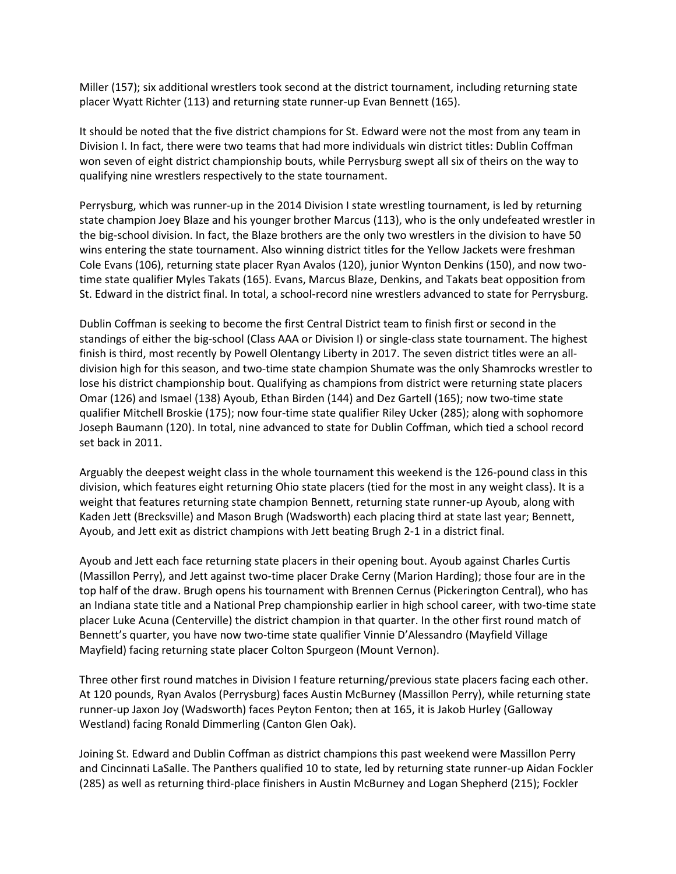Miller (157); six additional wrestlers took second at the district tournament, including returning state placer Wyatt Richter (113) and returning state runner-up Evan Bennett (165).

It should be noted that the five district champions for St. Edward were not the most from any team in Division I. In fact, there were two teams that had more individuals win district titles: Dublin Coffman won seven of eight district championship bouts, while Perrysburg swept all six of theirs on the way to qualifying nine wrestlers respectively to the state tournament.

Perrysburg, which was runner-up in the 2014 Division I state wrestling tournament, is led by returning state champion Joey Blaze and his younger brother Marcus (113), who is the only undefeated wrestler in the big-school division. In fact, the Blaze brothers are the only two wrestlers in the division to have 50 wins entering the state tournament. Also winning district titles for the Yellow Jackets were freshman Cole Evans (106), returning state placer Ryan Avalos (120), junior Wynton Denkins (150), and now twotime state qualifier Myles Takats (165). Evans, Marcus Blaze, Denkins, and Takats beat opposition from St. Edward in the district final. In total, a school-record nine wrestlers advanced to state for Perrysburg.

Dublin Coffman is seeking to become the first Central District team to finish first or second in the standings of either the big-school (Class AAA or Division I) or single-class state tournament. The highest finish is third, most recently by Powell Olentangy Liberty in 2017. The seven district titles were an alldivision high for this season, and two-time state champion Shumate was the only Shamrocks wrestler to lose his district championship bout. Qualifying as champions from district were returning state placers Omar (126) and Ismael (138) Ayoub, Ethan Birden (144) and Dez Gartell (165); now two-time state qualifier Mitchell Broskie (175); now four-time state qualifier Riley Ucker (285); along with sophomore Joseph Baumann (120). In total, nine advanced to state for Dublin Coffman, which tied a school record set back in 2011.

Arguably the deepest weight class in the whole tournament this weekend is the 126-pound class in this division, which features eight returning Ohio state placers (tied for the most in any weight class). It is a weight that features returning state champion Bennett, returning state runner-up Ayoub, along with Kaden Jett (Brecksville) and Mason Brugh (Wadsworth) each placing third at state last year; Bennett, Ayoub, and Jett exit as district champions with Jett beating Brugh 2-1 in a district final.

Ayoub and Jett each face returning state placers in their opening bout. Ayoub against Charles Curtis (Massillon Perry), and Jett against two-time placer Drake Cerny (Marion Harding); those four are in the top half of the draw. Brugh opens his tournament with Brennen Cernus (Pickerington Central), who has an Indiana state title and a National Prep championship earlier in high school career, with two-time state placer Luke Acuna (Centerville) the district champion in that quarter. In the other first round match of Bennett's quarter, you have now two-time state qualifier Vinnie D'Alessandro (Mayfield Village Mayfield) facing returning state placer Colton Spurgeon (Mount Vernon).

Three other first round matches in Division I feature returning/previous state placers facing each other. At 120 pounds, Ryan Avalos (Perrysburg) faces Austin McBurney (Massillon Perry), while returning state runner-up Jaxon Joy (Wadsworth) faces Peyton Fenton; then at 165, it is Jakob Hurley (Galloway Westland) facing Ronald Dimmerling (Canton Glen Oak).

Joining St. Edward and Dublin Coffman as district champions this past weekend were Massillon Perry and Cincinnati LaSalle. The Panthers qualified 10 to state, led by returning state runner-up Aidan Fockler (285) as well as returning third-place finishers in Austin McBurney and Logan Shepherd (215); Fockler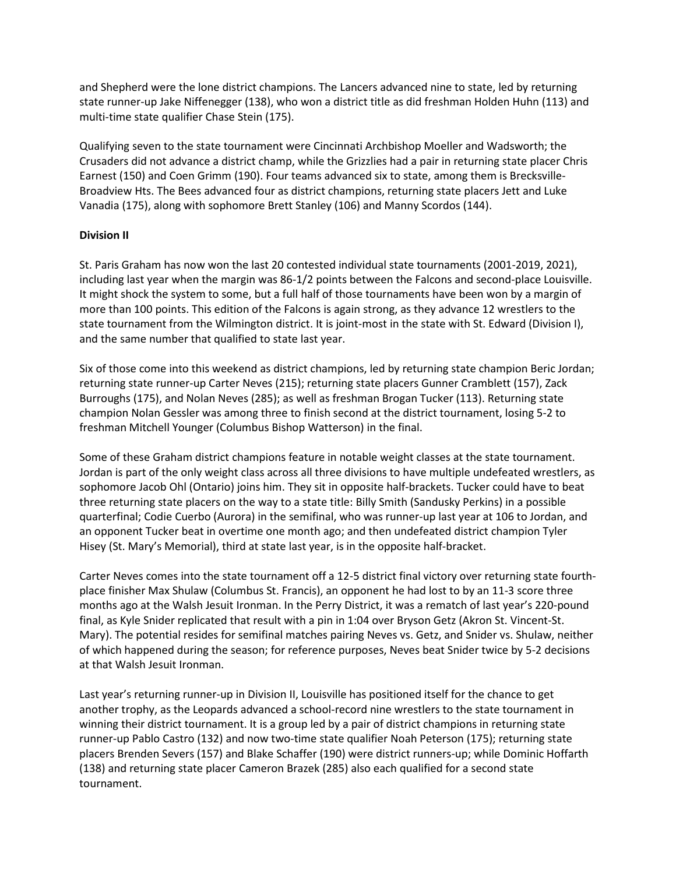and Shepherd were the lone district champions. The Lancers advanced nine to state, led by returning state runner-up Jake Niffenegger (138), who won a district title as did freshman Holden Huhn (113) and multi-time state qualifier Chase Stein (175).

Qualifying seven to the state tournament were Cincinnati Archbishop Moeller and Wadsworth; the Crusaders did not advance a district champ, while the Grizzlies had a pair in returning state placer Chris Earnest (150) and Coen Grimm (190). Four teams advanced six to state, among them is Brecksville-Broadview Hts. The Bees advanced four as district champions, returning state placers Jett and Luke Vanadia (175), along with sophomore Brett Stanley (106) and Manny Scordos (144).

## **Division II**

St. Paris Graham has now won the last 20 contested individual state tournaments (2001-2019, 2021), including last year when the margin was 86-1/2 points between the Falcons and second-place Louisville. It might shock the system to some, but a full half of those tournaments have been won by a margin of more than 100 points. This edition of the Falcons is again strong, as they advance 12 wrestlers to the state tournament from the Wilmington district. It is joint-most in the state with St. Edward (Division I), and the same number that qualified to state last year.

Six of those come into this weekend as district champions, led by returning state champion Beric Jordan; returning state runner-up Carter Neves (215); returning state placers Gunner Cramblett (157), Zack Burroughs (175), and Nolan Neves (285); as well as freshman Brogan Tucker (113). Returning state champion Nolan Gessler was among three to finish second at the district tournament, losing 5-2 to freshman Mitchell Younger (Columbus Bishop Watterson) in the final.

Some of these Graham district champions feature in notable weight classes at the state tournament. Jordan is part of the only weight class across all three divisions to have multiple undefeated wrestlers, as sophomore Jacob Ohl (Ontario) joins him. They sit in opposite half-brackets. Tucker could have to beat three returning state placers on the way to a state title: Billy Smith (Sandusky Perkins) in a possible quarterfinal; Codie Cuerbo (Aurora) in the semifinal, who was runner-up last year at 106 to Jordan, and an opponent Tucker beat in overtime one month ago; and then undefeated district champion Tyler Hisey (St. Mary's Memorial), third at state last year, is in the opposite half-bracket.

Carter Neves comes into the state tournament off a 12-5 district final victory over returning state fourthplace finisher Max Shulaw (Columbus St. Francis), an opponent he had lost to by an 11-3 score three months ago at the Walsh Jesuit Ironman. In the Perry District, it was a rematch of last year's 220-pound final, as Kyle Snider replicated that result with a pin in 1:04 over Bryson Getz (Akron St. Vincent-St. Mary). The potential resides for semifinal matches pairing Neves vs. Getz, and Snider vs. Shulaw, neither of which happened during the season; for reference purposes, Neves beat Snider twice by 5-2 decisions at that Walsh Jesuit Ironman.

Last year's returning runner-up in Division II, Louisville has positioned itself for the chance to get another trophy, as the Leopards advanced a school-record nine wrestlers to the state tournament in winning their district tournament. It is a group led by a pair of district champions in returning state runner-up Pablo Castro (132) and now two-time state qualifier Noah Peterson (175); returning state placers Brenden Severs (157) and Blake Schaffer (190) were district runners-up; while Dominic Hoffarth (138) and returning state placer Cameron Brazek (285) also each qualified for a second state tournament.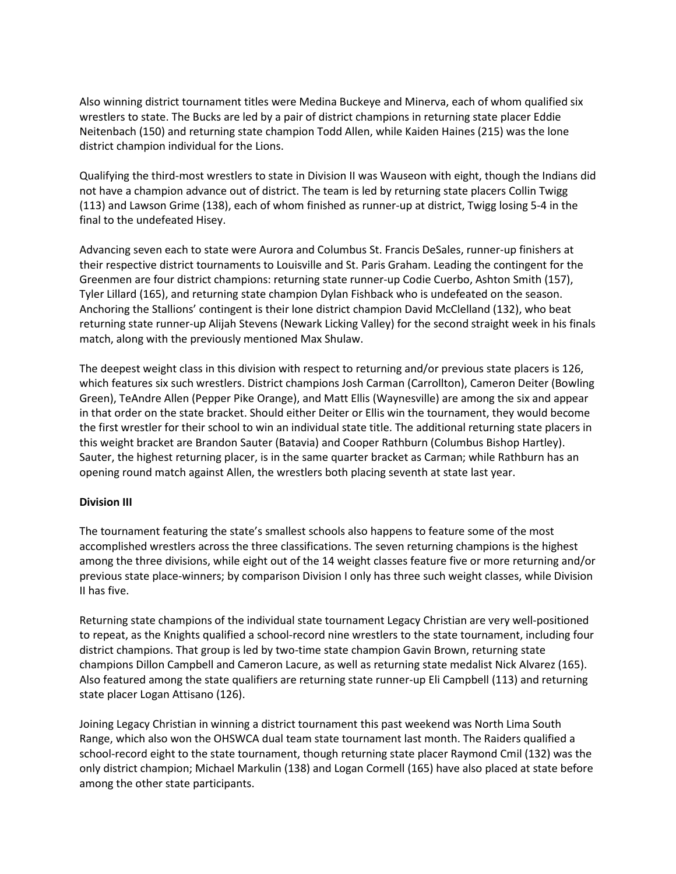Also winning district tournament titles were Medina Buckeye and Minerva, each of whom qualified six wrestlers to state. The Bucks are led by a pair of district champions in returning state placer Eddie Neitenbach (150) and returning state champion Todd Allen, while Kaiden Haines (215) was the lone district champion individual for the Lions.

Qualifying the third-most wrestlers to state in Division II was Wauseon with eight, though the Indians did not have a champion advance out of district. The team is led by returning state placers Collin Twigg (113) and Lawson Grime (138), each of whom finished as runner-up at district, Twigg losing 5-4 in the final to the undefeated Hisey.

Advancing seven each to state were Aurora and Columbus St. Francis DeSales, runner-up finishers at their respective district tournaments to Louisville and St. Paris Graham. Leading the contingent for the Greenmen are four district champions: returning state runner-up Codie Cuerbo, Ashton Smith (157), Tyler Lillard (165), and returning state champion Dylan Fishback who is undefeated on the season. Anchoring the Stallions' contingent is their lone district champion David McClelland (132), who beat returning state runner-up Alijah Stevens (Newark Licking Valley) for the second straight week in his finals match, along with the previously mentioned Max Shulaw.

The deepest weight class in this division with respect to returning and/or previous state placers is 126, which features six such wrestlers. District champions Josh Carman (Carrollton), Cameron Deiter (Bowling Green), TeAndre Allen (Pepper Pike Orange), and Matt Ellis (Waynesville) are among the six and appear in that order on the state bracket. Should either Deiter or Ellis win the tournament, they would become the first wrestler for their school to win an individual state title. The additional returning state placers in this weight bracket are Brandon Sauter (Batavia) and Cooper Rathburn (Columbus Bishop Hartley). Sauter, the highest returning placer, is in the same quarter bracket as Carman; while Rathburn has an opening round match against Allen, the wrestlers both placing seventh at state last year.

## **Division III**

The tournament featuring the state's smallest schools also happens to feature some of the most accomplished wrestlers across the three classifications. The seven returning champions is the highest among the three divisions, while eight out of the 14 weight classes feature five or more returning and/or previous state place-winners; by comparison Division I only has three such weight classes, while Division II has five.

Returning state champions of the individual state tournament Legacy Christian are very well-positioned to repeat, as the Knights qualified a school-record nine wrestlers to the state tournament, including four district champions. That group is led by two-time state champion Gavin Brown, returning state champions Dillon Campbell and Cameron Lacure, as well as returning state medalist Nick Alvarez (165). Also featured among the state qualifiers are returning state runner-up Eli Campbell (113) and returning state placer Logan Attisano (126).

Joining Legacy Christian in winning a district tournament this past weekend was North Lima South Range, which also won the OHSWCA dual team state tournament last month. The Raiders qualified a school-record eight to the state tournament, though returning state placer Raymond Cmil (132) was the only district champion; Michael Markulin (138) and Logan Cormell (165) have also placed at state before among the other state participants.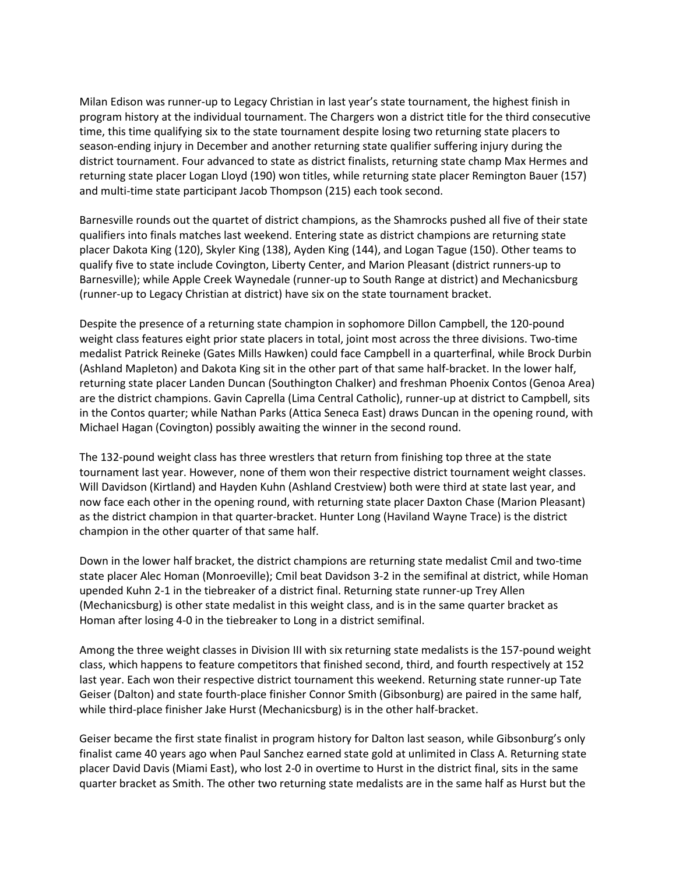Milan Edison was runner-up to Legacy Christian in last year's state tournament, the highest finish in program history at the individual tournament. The Chargers won a district title for the third consecutive time, this time qualifying six to the state tournament despite losing two returning state placers to season-ending injury in December and another returning state qualifier suffering injury during the district tournament. Four advanced to state as district finalists, returning state champ Max Hermes and returning state placer Logan Lloyd (190) won titles, while returning state placer Remington Bauer (157) and multi-time state participant Jacob Thompson (215) each took second.

Barnesville rounds out the quartet of district champions, as the Shamrocks pushed all five of their state qualifiers into finals matches last weekend. Entering state as district champions are returning state placer Dakota King (120), Skyler King (138), Ayden King (144), and Logan Tague (150). Other teams to qualify five to state include Covington, Liberty Center, and Marion Pleasant (district runners-up to Barnesville); while Apple Creek Waynedale (runner-up to South Range at district) and Mechanicsburg (runner-up to Legacy Christian at district) have six on the state tournament bracket.

Despite the presence of a returning state champion in sophomore Dillon Campbell, the 120-pound weight class features eight prior state placers in total, joint most across the three divisions. Two-time medalist Patrick Reineke (Gates Mills Hawken) could face Campbell in a quarterfinal, while Brock Durbin (Ashland Mapleton) and Dakota King sit in the other part of that same half-bracket. In the lower half, returning state placer Landen Duncan (Southington Chalker) and freshman Phoenix Contos (Genoa Area) are the district champions. Gavin Caprella (Lima Central Catholic), runner-up at district to Campbell, sits in the Contos quarter; while Nathan Parks (Attica Seneca East) draws Duncan in the opening round, with Michael Hagan (Covington) possibly awaiting the winner in the second round.

The 132-pound weight class has three wrestlers that return from finishing top three at the state tournament last year. However, none of them won their respective district tournament weight classes. Will Davidson (Kirtland) and Hayden Kuhn (Ashland Crestview) both were third at state last year, and now face each other in the opening round, with returning state placer Daxton Chase (Marion Pleasant) as the district champion in that quarter-bracket. Hunter Long (Haviland Wayne Trace) is the district champion in the other quarter of that same half.

Down in the lower half bracket, the district champions are returning state medalist Cmil and two-time state placer Alec Homan (Monroeville); Cmil beat Davidson 3-2 in the semifinal at district, while Homan upended Kuhn 2-1 in the tiebreaker of a district final. Returning state runner-up Trey Allen (Mechanicsburg) is other state medalist in this weight class, and is in the same quarter bracket as Homan after losing 4-0 in the tiebreaker to Long in a district semifinal.

Among the three weight classes in Division III with six returning state medalists is the 157-pound weight class, which happens to feature competitors that finished second, third, and fourth respectively at 152 last year. Each won their respective district tournament this weekend. Returning state runner-up Tate Geiser (Dalton) and state fourth-place finisher Connor Smith (Gibsonburg) are paired in the same half, while third-place finisher Jake Hurst (Mechanicsburg) is in the other half-bracket.

Geiser became the first state finalist in program history for Dalton last season, while Gibsonburg's only finalist came 40 years ago when Paul Sanchez earned state gold at unlimited in Class A. Returning state placer David Davis (Miami East), who lost 2-0 in overtime to Hurst in the district final, sits in the same quarter bracket as Smith. The other two returning state medalists are in the same half as Hurst but the